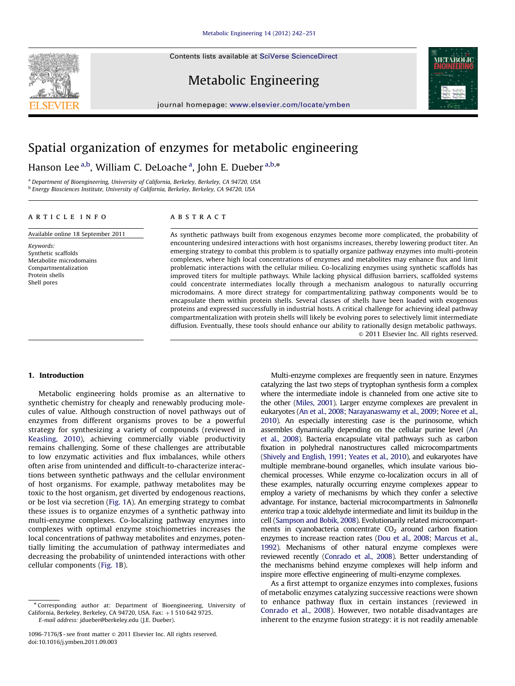Contents lists available at [SciVerse ScienceDirect](www.elsevier.com/locate/ymben)







journal homepage: <www.elsevier.com/locate/ymben>

# Spatial organization of enzymes for metabolic engineering

Hanson Lee <sup>a,b</sup>, William C. DeLoache <sup>a</sup>, John E. Dueber <sup>a,b,</sup>\*

<sup>a</sup> Department of Bioengineering, University of California, Berkeley, Berkeley, CA 94720, USA b Energy Biosciences Institute, University of California, Berkeley, Berkeley, CA 94720, USA

## article info

# ABSTRACT

Available online 18 September 2011 Keywords:

Synthetic scaffolds Metabolite microdomains Compartmentalization Protein shells Shell pores

As synthetic pathways built from exogenous enzymes become more complicated, the probability of encountering undesired interactions with host organisms increases, thereby lowering product titer. An emerging strategy to combat this problem is to spatially organize pathway enzymes into multi-protein complexes, where high local concentrations of enzymes and metabolites may enhance flux and limit problematic interactions with the cellular milieu. Co-localizing enzymes using synthetic scaffolds has improved titers for multiple pathways. While lacking physical diffusion barriers, scaffolded systems could concentrate intermediates locally through a mechanism analogous to naturally occurring microdomains. A more direct strategy for compartmentalizing pathway components would be to encapsulate them within protein shells. Several classes of shells have been loaded with exogenous proteins and expressed successfully in industrial hosts. A critical challenge for achieving ideal pathway compartmentalization with protein shells will likely be evolving pores to selectively limit intermediate diffusion. Eventually, these tools should enhance our ability to rationally design metabolic pathways.  $\odot$  2011 Elsevier Inc. All rights reserved.

# 1. Introduction

Metabolic engineering holds promise as an alternative to synthetic chemistry for cheaply and renewably producing molecules of value. Although construction of novel pathways out of enzymes from different organisms proves to be a powerful strategy for synthesizing a variety of compounds (reviewed in [Keasling, 2010\)](#page-8-0), achieving commercially viable productivity remains challenging. Some of these challenges are attributable to low enzymatic activities and flux imbalances, while others often arise from unintended and difficult-to-characterize interactions between synthetic pathways and the cellular environment of host organisms. For example, pathway metabolites may be toxic to the host organism, get diverted by endogenous reactions, or be lost via secretion [\(Fig. 1A](#page-1-0)). An emerging strategy to combat these issues is to organize enzymes of a synthetic pathway into multi-enzyme complexes. Co-localizing pathway enzymes into complexes with optimal enzyme stoichiometries increases the local concentrations of pathway metabolites and enzymes, potentially limiting the accumulation of pathway intermediates and decreasing the probability of unintended interactions with other cellular components ([Fig. 1B](#page-1-0)).

Multi-enzyme complexes are frequently seen in nature. Enzymes catalyzing the last two steps of tryptophan synthesis form a complex where the intermediate indole is channeled from one active site to the other [\(Miles, 2001](#page-8-0)). Larger enzyme complexes are prevalent in eukaryotes [\(An et al., 2008;](#page-7-0) [Narayanaswamy et al., 2009;](#page-8-0) [Noree et al.,](#page-8-0) [2010\)](#page-8-0). An especially interesting case is the purinosome, which assembles dynamically depending on the cellular purine level ([An](#page-7-0) [et al., 2008](#page-7-0)). Bacteria encapsulate vital pathways such as carbon fixation in polyhedral nanostructures called microcompartments ([Shively and English, 1991](#page-8-0); [Yeates et al., 2010\)](#page-9-0), and eukaryotes have multiple membrane-bound organelles, which insulate various biochemical processes. While enzyme co-localization occurs in all of these examples, naturally occurring enzyme complexes appear to employ a variety of mechanisms by which they confer a selective advantage. For instance, bacterial microcompartments in Salmonella enterica trap a toxic aldehyde intermediate and limit its buildup in the cell [\(Sampson and Bobik, 2008\)](#page-8-0). Evolutionarily related microcompartments in cyanobacteria concentrate  $CO<sub>2</sub>$  around carbon fixation enzymes to increase reaction rates [\(Dou et al., 2008;](#page-8-0) [Marcus et al.,](#page-8-0) [1992](#page-8-0)). Mechanisms of other natural enzyme complexes were reviewed recently ([Conrado et al., 2008\)](#page-8-0). Better understanding of the mechanisms behind enzyme complexes will help inform and inspire more effective engineering of multi-enzyme complexes.

As a first attempt to organize enzymes into complexes, fusions of metabolic enzymes catalyzing successive reactions were shown to enhance pathway flux in certain instances (reviewed in [Conrado et al., 2008\)](#page-8-0). However, two notable disadvantages are inherent to the enzyme fusion strategy: it is not readily amenable

<sup>n</sup> Corresponding author at: Department of Bioengineering, University of California, Berkeley, Berkeley, CA 94720, USA. Fax:  $+15106429725$ . E-mail address: [jdueber@berkeley.edu \(J.E. Dueber\).](mailto:jdueber@berkeley.edu)

<sup>1096-7176/\$ -</sup> see front matter & 2011 Elsevier Inc. All rights reserved. doi:[10.1016/j.ymben.2011.09.003](dx.doi.org/10.1016/j.ymben.2011.09.003)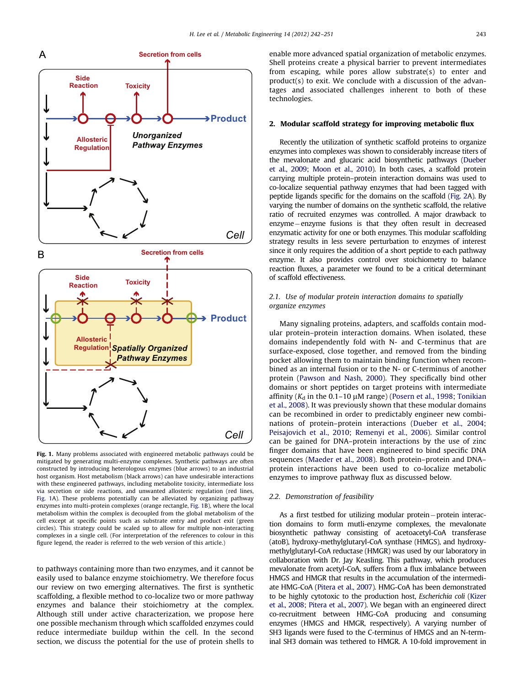<span id="page-1-0"></span>

Fig. 1. Many problems associated with engineered metabolic pathways could be mitigated by generating multi-enzyme complexes. Synthetic pathways are often constructed by introducing heterologous enzymes (blue arrows) to an industrial host organism. Host metabolism (black arrows) can have undesirable interactions with these engineered pathways, including metabolite toxicity, intermediate loss via secretion or side reactions, and unwanted allosteric regulation (red lines, Fig. 1A). These problems potentially can be alleviated by organizing pathway enzymes into multi-protein complexes (orange rectangle, Fig. 1B), where the local metabolism within the complex is decoupled from the global metabolism of the cell except at specific points such as substrate entry and product exit (green circles). This strategy could be scaled up to allow for multiple non-interacting complexes in a single cell. (For interpretation of the references to colour in this figure legend, the reader is referred to the web version of this article.)

to pathways containing more than two enzymes, and it cannot be easily used to balance enzyme stoichiometry. We therefore focus our review on two emerging alternatives. The first is synthetic scaffolding, a flexible method to co-localize two or more pathway enzymes and balance their stoichiometry at the complex. Although still under active characterization, we propose here one possible mechanism through which scaffolded enzymes could reduce intermediate buildup within the cell. In the second section, we discuss the potential for the use of protein shells to enable more advanced spatial organization of metabolic enzymes. Shell proteins create a physical barrier to prevent intermediates from escaping, while pores allow substrate(s) to enter and product(s) to exit. We conclude with a discussion of the advantages and associated challenges inherent to both of these technologies.

## 2. Modular scaffold strategy for improving metabolic flux

Recently the utilization of synthetic scaffold proteins to organize enzymes into complexes was shown to considerably increase titers of the mevalonate and glucaric acid biosynthetic pathways [\(Dueber](#page-8-0) [et al., 2009;](#page-8-0) [Moon et al., 2010](#page-8-0)). In both cases, a scaffold protein carrying multiple protein–protein interaction domains was used to co-localize sequential pathway enzymes that had been tagged with peptide ligands specific for the domains on the scaffold [\(Fig. 2A](#page-2-0)). By varying the number of domains on the synthetic scaffold, the relative ratio of recruited enzymes was controlled. A major drawback to enzyme-enzyme fusions is that they often result in decreased enzymatic activity for one or both enzymes. This modular scaffolding strategy results in less severe perturbation to enzymes of interest since it only requires the addition of a short peptide to each pathway enzyme. It also provides control over stoichiometry to balance reaction fluxes, a parameter we found to be a critical determinant of scaffold effectiveness.

# 2.1. Use of modular protein interaction domains to spatially organize enzymes

Many signaling proteins, adapters, and scaffolds contain modular protein–protein interaction domains. When isolated, these domains independently fold with N- and C-terminus that are surface-exposed, close together, and removed from the binding pocket allowing them to maintain binding function when recombined as an internal fusion or to the N- or C-terminus of another protein ([Pawson and Nash, 2000\)](#page-8-0). They specifically bind other domains or short peptides on target proteins with intermediate affinity ( $K_d$  in the 0.1–10  $\mu$ M range) ([Posern et al., 1998](#page-8-0); [Tonikian](#page-9-0) [et al., 2008](#page-9-0)). It was previously shown that these modular domains can be recombined in order to predictably engineer new combinations of protein–protein interactions [\(Dueber et al., 2004;](#page-8-0) [Peisajovich et al., 2010](#page-8-0); [Remenyi et al., 2006\)](#page-8-0). Similar control can be gained for DNA–protein interactions by the use of zinc finger domains that have been engineered to bind specific DNA sequences ([Maeder et al., 2008](#page-8-0)). Both protein–protein and DNA– protein interactions have been used to co-localize metabolic enzymes to improve pathway flux as discussed below.

## 2.2. Demonstration of feasibility

As a first testbed for utilizing modular protein-protein interaction domains to form mutli-enzyme complexes, the mevalonate biosynthetic pathway consisting of acetoacetyl-CoA transferase (atoB), hydroxy-methylglutaryl-CoA synthase (HMGS), and hydroxymethylglutaryl-CoA reductase (HMGR) was used by our laboratory in collaboration with Dr. Jay Keasling. This pathway, which produces mevalonate from acetyl-CoA, suffers from a flux imbalance between HMGS and HMGR that results in the accumulation of the intermediate HMG-CoA [\(Pitera et al., 2007\)](#page-8-0). HMG-CoA has been demonstrated to be highly cytotoxic to the production host, Escherichia coli [\(Kizer](#page-8-0) [et al., 2008;](#page-8-0) [Pitera et al., 2007](#page-8-0)). We began with an engineered direct co-recruitment between HMG-CoA producing and consuming enzymes (HMGS and HMGR, respectively). A varying number of SH3 ligands were fused to the C-terminus of HMGS and an N-terminal SH3 domain was tethered to HMGR. A 10-fold improvement in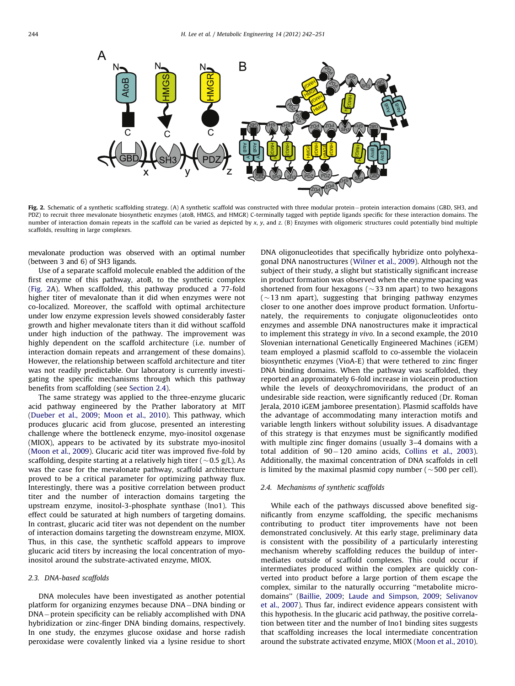<span id="page-2-0"></span>

**Fig. 2.** Schematic of a synthetic scaffolding strategy. (A) A synthetic scaffold was constructed with three modular protein – protein interaction domains (GBD, SH3, and PDZ) to recruit three mevalonate biosynthetic enzymes (atoB, HMGS, and HMGR) C-terminally tagged with peptide ligands specific for these interaction domains. The number of interaction domain repeats in the scaffold can be varied as depicted by x, y, and z. (B) Enzymes with oligomeric structures could potentially bind multiple scaffolds, resulting in large complexes.

mevalonate production was observed with an optimal number (between 3 and 6) of SH3 ligands.

Use of a separate scaffold molecule enabled the addition of the first enzyme of this pathway, atoB, to the synthetic complex (Fig. 2A). When scaffolded, this pathway produced a 77-fold higher titer of mevalonate than it did when enzymes were not co-localized. Moreover, the scaffold with optimal architecture under low enzyme expression levels showed considerably faster growth and higher mevalonate titers than it did without scaffold under high induction of the pathway. The improvement was highly dependent on the scaffold architecture (i.e. number of interaction domain repeats and arrangement of these domains). However, the relationship between scaffold architecture and titer was not readily predictable. Our laboratory is currently investigating the specific mechanisms through which this pathway benefits from scaffolding (see Section 2.4).

The same strategy was applied to the three-enzyme glucaric acid pathway engineered by the Prather laboratory at MIT ([Dueber et al., 2009](#page-8-0); [Moon et al., 2010\)](#page-8-0). This pathway, which produces glucaric acid from glucose, presented an interesting challenge where the bottleneck enzyme, myo-inositol oxgenase (MIOX), appears to be activated by its substrate myo-inositol ([Moon et al., 2009](#page-8-0)). Glucaric acid titer was improved five-fold by scaffolding, despite starting at a relatively high titer ( $\sim$ 0.5 g/L). As was the case for the mevalonate pathway, scaffold architecture proved to be a critical parameter for optimizing pathway flux. Interestingly, there was a positive correlation between product titer and the number of interaction domains targeting the upstream enzyme, inositol-3-phosphate synthase (Ino1). This effect could be saturated at high numbers of targeting domains. In contrast, glucaric acid titer was not dependent on the number of interaction domains targeting the downstream enzyme, MIOX. Thus, in this case, the synthetic scaffold appears to improve glucaric acid titers by increasing the local concentration of myoinositol around the substrate-activated enzyme, MIOX.

# 2.3. DNA-based scaffolds

DNA molecules have been investigated as another potential platform for organizing enzymes because DNA-DNA binding or DNA-protein specificity can be reliably accomplished with DNA hybridization or zinc-finger DNA binding domains, respectively. In one study, the enzymes glucose oxidase and horse radish peroxidase were covalently linked via a lysine residue to short

DNA oligonucleotides that specifically hybridize onto polyhexagonal DNA nanostructures ([Wilner et al., 2009\)](#page-9-0). Although not the subject of their study, a slight but statistically significant increase in product formation was observed when the enzyme spacing was shortened from four hexagons ( $\sim$ 33 nm apart) to two hexagons  $(\sim 13 \text{ nm})$  apart), suggesting that bringing pathway enzymes closer to one another does improve product formation. Unfortunately, the requirements to conjugate oligonucleotides onto enzymes and assemble DNA nanostructures make it impractical to implement this strategy in vivo. In a second example, the 2010 Slovenian international Genetically Engineered Machines (iGEM) team employed a plasmid scaffold to co-assemble the violacein biosynthetic enzymes (VioA-E) that were tethered to zinc finger DNA binding domains. When the pathway was scaffolded, they reported an approximately 6-fold increase in violacein production while the levels of deoxychromoviridans, the product of an undesirable side reaction, were significantly reduced (Dr. Roman Jerala, 2010 iGEM jamboree presentation). Plasmid scaffolds have the advantage of accommodating many interaction motifs and variable length linkers without solubility issues. A disadvantage of this strategy is that enzymes must be significantly modified with multiple zinc finger domains (usually 3–4 domains with a total addition of 90-120 amino acids, [Collins et al., 2003\)](#page-8-0). Additionally, the maximal concentration of DNA scaffolds in cell is limited by the maximal plasmid copy number ( $\sim$ 500 per cell).

# 2.4. Mechanisms of synthetic scaffolds

While each of the pathways discussed above benefited significantly from enzyme scaffolding, the specific mechanisms contributing to product titer improvements have not been demonstrated conclusively. At this early stage, preliminary data is consistent with the possibility of a particularly interesting mechanism whereby scaffolding reduces the buildup of intermediates outside of scaffold complexes. This could occur if intermediates produced within the complex are quickly converted into product before a large portion of them escape the complex, similar to the naturally occurring ''metabolite microdomains'' [\(Baillie, 2009;](#page-7-0) [Laude and Simpson, 2009](#page-8-0); [Selivanov](#page-8-0) [et al., 2007](#page-8-0)). Thus far, indirect evidence appears consistent with this hypothesis. In the glucaric acid pathway, the positive correlation between titer and the number of Ino1 binding sites suggests that scaffolding increases the local intermediate concentration around the substrate activated enzyme, MIOX ([Moon et al., 2010\)](#page-8-0).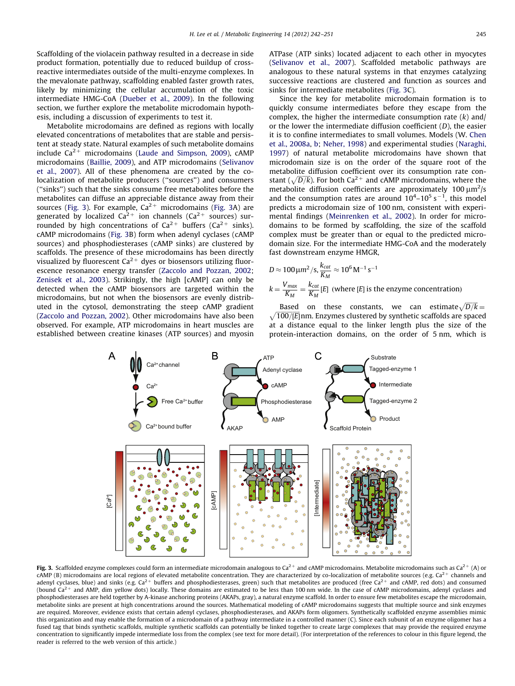Scaffolding of the violacein pathway resulted in a decrease in side product formation, potentially due to reduced buildup of crossreactive intermediates outside of the multi-enzyme complexes. In the mevalonate pathway, scaffolding enabled faster growth rates, likely by minimizing the cellular accumulation of the toxic intermediate HMG-CoA ([Dueber et al., 2009\)](#page-8-0). In the following section, we further explore the metabolite microdomain hypothesis, including a discussion of experiments to test it.

Metabolite microdomains are defined as regions with locally elevated concentrations of metabolites that are stable and persistent at steady state. Natural examples of such metabolite domains include  $Ca^{2+}$  microdomains [\(Laude and Simpson, 2009\)](#page-8-0), cAMP microdomains ([Baillie, 2009\)](#page-7-0), and ATP microdomains [\(Selivanov](#page-8-0) [et al., 2007](#page-8-0)). All of these phenomena are created by the colocalization of metabolite producers (''sources'') and consumers (''sinks'') such that the sinks consume free metabolites before the metabolites can diffuse an appreciable distance away from their sources (Fig. 3). For example,  $Ca^{2+}$  microdomains (Fig. 3A) are generated by localized  $Ca^{2+}$  ion channels ( $Ca^{2+}$  sources) surrounded by high concentrations of  $Ca^{2+}$  buffers ( $Ca^{2+}$  sinks). cAMP microdomains (Fig. 3B) form when adenyl cyclases (cAMP sources) and phosphodiesterases (cAMP sinks) are clustered by scaffolds. The presence of these microdomains has been directly visualized by fluorescent  $Ca^{2+}$  dyes or biosensors utilizing fluorescence resonance energy transfer ([Zaccolo and Pozzan, 2002;](#page-9-0) [Zenisek et al., 2003](#page-9-0)). Strikingly, the high [cAMP] can only be detected when the cAMP biosensors are targeted within the microdomains, but not when the biosensors are evenly distributed in the cytosol, demonstrating the steep cAMP gradient ([Zaccolo and Pozzan, 2002](#page-9-0)). Other microdomains have also been observed. For example, ATP microdomains in heart muscles are established between creatine kinases (ATP sources) and myosin ATPase (ATP sinks) located adjacent to each other in myocytes ([Selivanov et al., 2007\)](#page-8-0). Scaffolded metabolic pathways are analogous to these natural systems in that enzymes catalyzing successive reactions are clustered and function as sources and sinks for intermediate metabolites (Fig. 3C).

Since the key for metabolite microdomain formation is to quickly consume intermediates before they escape from the complex, the higher the intermediate consumption rate  $(k)$  and/ or the lower the intermediate diffusion coefficient  $(D)$ , the easier it is to confine intermediates to small volumes. Models (W. [Chen](#page-8-0) [et al., 2008a,](#page-8-0) [b](#page-8-0); [Neher, 1998](#page-8-0)) and experimental studies ([Naraghi,](#page-8-0) [1997\)](#page-8-0) of natural metabolite microdomains have shown that microdomain size is on the order of the square root of the metabolite diffusion coefficient over its consumption rate constant  $(\sqrt{D/k})$ . For both Ca<sup>2+</sup> and cAMP microdomains, where the metabolite diffusion coefficients are approximately  $100 \mu m^2/s$ and the consumption rates are around  $10^4 - 10^5$  s<sup> $-1$ </sup>, this model predicts a microdomain size of 100 nm, consistent with experimental findings ([Meinrenken et al., 2002](#page-8-0)). In order for microdomains to be formed by scaffolding, the size of the scaffold complex must be greater than or equal to the predicted microdomain size. For the intermediate HMG-CoA and the moderately fast downstream enzyme HMGR,

$$
D \approx 100 \,\mu m^2 / \text{s}, \frac{k_{cat}}{K_M} \approx 10^6 \,\text{M}^{-1} \,\text{s}^{-1}
$$
\n
$$
k = \frac{V_{max}}{K_M} = \frac{k_{cat}}{K_M} [E] \text{ (where } [E] \text{ is the enzyme concentration)}
$$

Based on these constants, we can estimate  $\sqrt{D/k}$  =  $\frac{100}{\sqrt{E}}$  for property during the system of  $\frac{100}{\sqrt{E}}$  for  $\frac{100}{E}$  for  $\frac{100}{E}$  for  $\frac{100}{E}$  for  $\frac{100}{E}$  for  $\frac{100}{E}$  for  $\frac{100}{E}$  for  $\frac{$  $\sqrt{100/[E]}$ nm. Enzymes clustered by synthetic scaffolds are spaced at a distance equal to the linker length plus the size of the protein-interaction domains, on the order of 5 nm, which is



**Fig. 3.** Scaffolded enzyme complexes could form an intermediate microdomain analogous to Ca<sup>2+</sup> and cAMP microdomains. Metabolite microdomains such as Ca<sup>2+</sup> (A) or  $c$ AMP (B) microdomains are local regions of elevated metabolite concentration. They are characterized by co-localization of metabolite sources (e.g.  $Ca<sup>2+</sup>$  channels and adenyl cyclases, blue) and sinks (e.g.  $Ca^{2+}$  buffers and phosphodiesterases, green) such that metabolites are produced (free  $Ca^{2+}$  and cAMP, red dots) and consumed (bound Ca<sup>2+</sup> and AMP, dim yellow dots) locally. These domains are estimated to be less than 100 nm wide. In the case of cAMP microdomains, adenyl cyclases and phosphodiesterases are held together by A-kinase anchoring proteins (AKAPs, gray), a natural enzyme scaffold. In order to ensure few metabolites escape the microdomain, metabolite sinks are present at high concentrations around the sources. Mathematical modeling of cAMP microdomains suggests that multiple source and sink enzymes are required. Moreover, evidence exists that certain adenyl cyclases, phosphodiesterases, and AKAPs form oligomers. Synthetically scaffolded enzyme assemblies mimic this organization and may enable the formation of a microdomain of a pathway intermediate in a controlled manner (C). Since each subunit of an enzyme oligomer has a fused tag that binds synthetic scaffolds, multiple synthetic scaffolds can potentially be linked together to create large complexes that may provide the required enzyme concentration to significantly impede intermediate loss from the complex (see text for more detail). (For interpretation of the references to colour in this figure legend, the reader is referred to the web version of this article.)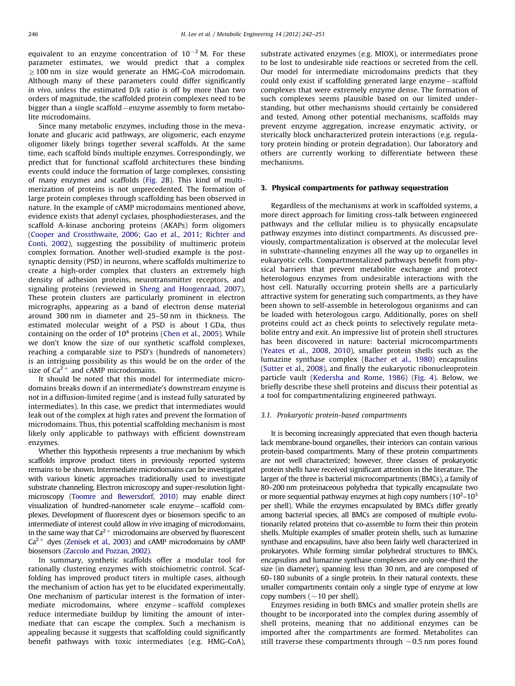equivalent to an enzyme concentration of  $10^{-2}$  M. For these parameter estimates, we would predict that a complex  $\geq$  100 nm in size would generate an HMG-CoA microdomain. Although many of these parameters could differ significantly in vivo, unless the estimated  $D/k$  ratio is off by more than two orders of magnitude, the scaffolded protein complexes need to be bigger than a single scaffold-enzyme assembly to form metabolite microdomains.

Since many metabolic enzymes, including those in the mevalonate and glucaric acid pathways, are oligomeric, each enzyme oligomer likely brings together several scaffolds. At the same time, each scaffold binds multiple enzymes. Correspondingly, we predict that for functional scaffold architectures these binding events could induce the formation of large complexes, consisting of many enzymes and scaffolds ([Fig. 2](#page-2-0)B). This kind of multimerization of proteins is not unprecedented. The formation of large protein complexes through scaffolding has been observed in nature. In the example of cAMP microdomains mentioned above, evidence exists that adenyl cyclases, phosphodiesterases, and the scaffold A-kinase anchoring proteins (AKAPs) form oligomers ([Cooper and Crossthwaite, 2006;](#page-8-0) [Gao et al., 2011](#page-8-0); [Richter and](#page-8-0) [Conti, 2002\)](#page-8-0), suggesting the possibility of multimeric protein complex formation. Another well-studied example is the postsynaptic density (PSD) in neurons, where scaffolds multimerize to create a high-order complex that clusters an extremely high density of adhesion proteins, neurotransmitter receptors, and signaling proteins (reviewed in [Sheng and Hoogenraad, 2007\)](#page-8-0). These protein clusters are particularly prominent in electron micrographs, appearing as a band of electron dense material around 300 nm in diameter and 25–50 nm in thickness. The estimated molecular weight of a PSD is about 1 GDa, thus containing on the order of  $10<sup>4</sup>$  proteins [\(Chen et al., 2005](#page-8-0)). While we don't know the size of our synthetic scaffold complexes, reaching a comparable size to PSD's (hundreds of nanometers) is an intriguing possibility as this would be on the order of the size of  $Ca^{2+}$  and cAMP microdomains.

It should be noted that this model for intermediate microdomains breaks down if an intermediate's downstream enzyme is not in a diffusion-limited regime (and is instead fully saturated by intermediates). In this case, we predict that intermediates would leak out of the complex at high rates and prevent the formation of microdomains. Thus, this potential scaffolding mechanism is most likely only applicable to pathways with efficient downstream enzymes.

Whether this hypothesis represents a true mechanism by which scaffolds improve product titers in previously reported systems remains to be shown. Intermediate microdomains can be investigated with various kinetic approaches traditionally used to investigate substrate channeling. Electron microscopy and super-resolution lightmicroscopy [\(Toomre and Bewersdorf, 2010\)](#page-9-0) may enable direct visualization of hundred-nanometer scale enzyme-scaffold complexes. Development of fluorescent dyes or biosensors specific to an intermediate of interest could allow in vivo imaging of microdomains, in the same way that  $Ca^{2+}$  microdomains are observed by fluorescent  $Ca<sup>2+</sup>$  dyes [\(Zenisek et al., 2003\)](#page-9-0) and cAMP microdomains by cAMP biosensors [\(Zaccolo and Pozzan, 2002](#page-9-0)).

In summary, synthetic scaffolds offer a modular tool for rationally clustering enzymes with stoichiometric control. Scaffolding has improved product titers in multiple cases, although the mechanism of action has yet to be elucidated experimentally. One mechanism of particular interest is the formation of intermediate microdomains, where enzyme-scaffold complexes reduce intermediate buildup by limiting the amount of intermediate that can escape the complex. Such a mechanism is appealing because it suggests that scaffolding could significantly benefit pathways with toxic intermediates (e.g. HMG-CoA), substrate activated enzymes (e.g. MIOX), or intermediates prone to be lost to undesirable side reactions or secreted from the cell. Our model for intermediate microdomains predicts that they could only exist if scaffolding generated large enzyme-scaffold complexes that were extremely enzyme dense. The formation of such complexes seems plausible based on our limited understanding, but other mechanisms should certainly be considered and tested. Among other potential mechanisms, scaffolds may prevent enzyme aggregation, increase enzymatic activity, or sterically block uncharacterized protein interactions (e.g. regulatory protein binding or protein degradation). Our laboratory and others are currently working to differentiate between these mechanisms.

## 3. Physical compartments for pathway sequestration

Regardless of the mechanisms at work in scaffolded systems, a more direct approach for limiting cross-talk between engineered pathways and the cellular milieu is to physically encapsulate pathway enzymes into distinct compartments. As discussed previously, compartmentalization is observed at the molecular level in substrate-channeling enzymes all the way up to organelles in eukaryotic cells. Compartmentalized pathways benefit from physical barriers that prevent metabolite exchange and protect heterologous enzymes from undesirable interactions with the host cell. Naturally occurring protein shells are a particularly attractive system for generating such compartments, as they have been shown to self-assemble in heterologous organisms and can be loaded with heterologous cargo. Additionally, pores on shell proteins could act as check points to selectively regulate metabolite entry and exit. An impressive list of protein shell structures has been discovered in nature: bacterial microcompartments ([Yeates et al., 2008, 2010](#page-9-0)), smaller protein shells such as the lumazine synthase complex ([Bacher et al., 1980\)](#page-7-0) encapsulins ([Sutter et al., 2008\)](#page-8-0), and finally the eukaryotic ribonucleoprotein particle vault [\(Kedersha and Rome, 1986\)](#page-8-0) [\(Fig. 4\)](#page-5-0). Below, we briefly describe these shell proteins and discuss their potential as a tool for compartmentalizing engineered pathways.

#### 3.1. Prokaryotic protein-based compartments

It is becoming increasingly appreciated that even though bacteria lack membrane-bound organelles, their interiors can contain various protein-based compartments. Many of these protein compartments are not well characterized; however, three classes of prokaryotic protein shells have received significant attention in the literature. The larger of the three is bacterial microcompartments (BMCs), a family of 80–200 nm proteinaceous polyhedra that typically encapsulate two or more sequential pathway enzymes at high copy numbers  $(10^2 - 10^3)$ per shell). While the enzymes encapsulated by BMCs differ greatly among bacterial species, all BMCs are composed of multiple evolutionarily related proteins that co-assemble to form their thin protein shells. Multiple examples of smaller protein shells, such as lumazine synthase and encapsulins, have also been fairly well characterized in prokaryotes. While forming similar polyhedral structures to BMCs, encapsulins and lumazine synthase complexes are only one-third the size (in diameter), spanning less than 30 nm, and are composed of 60–180 subunits of a single protein. In their natural contexts, these smaller compartments contain only a single type of enzyme at low copy numbers ( $\sim$ 10 per shell).

Enzymes residing in both BMCs and smaller protein shells are thought to be incorporated into the complex during assembly of shell proteins, meaning that no additional enzymes can be imported after the compartments are formed. Metabolites can still traverse these compartments through  $\sim$  0.5 nm pores found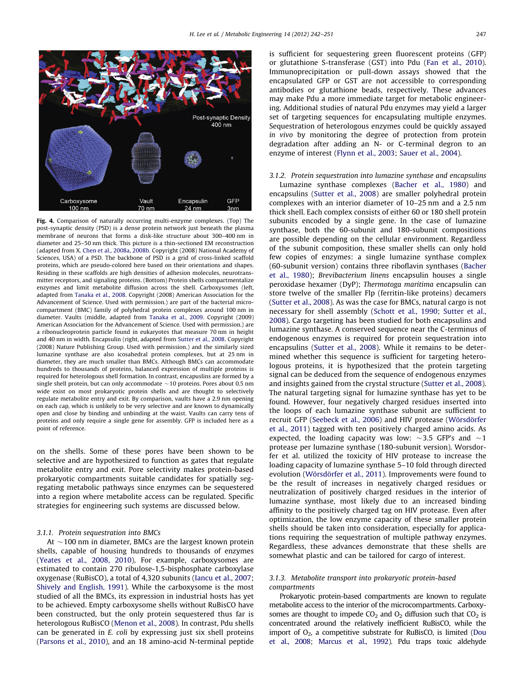<span id="page-5-0"></span>

Fig. 4. Comparison of naturally occurring multi-enzyme complexes. (Top) The post-synaptic density (PSD) is a dense protein network just beneath the plasma membrane of neurons that forms a disk-like structure about 300–400 nm in diameter and 25–50 nm thick. This picture is a thin-sectioned EM reconstruction (adapted from X. [Chen et al., 2008a](#page-8-0), [2008b.](#page-8-0) Copyright (2008) National Academy of Sciences, USA) of a PSD. The backbone of PSD is a grid of cross-linked scaffold proteins, which are pseudo-colored here based on their orientations and shapes. Residing in these scaffolds are high densities of adhesion molecules, neurotransmitter receptors, and signaling proteins. (Bottom) Protein shells compartmentalize enzymes and limit metabolite diffusion across the shell. Carboxysomes (left, adapted from [Tanaka et al., 2008](#page-9-0). Copyright (2008) American Association for the Advancement of Science. Used with permission.) are part of the bacterial microcompartment (BMC) family of polyhedral protein complexes around 100 nm in diameter. Vaults (middle, adapted from [Tanaka et al., 2009.](#page-9-0) Copyright (2009) American Association for the Advancement of Science. Used with permission.) are a ribonucleoprotein particle found in eukaryotes that measure 70 nm in height and 40 nm in width. Encapsulin (right, adapted from [Sutter et al., 2008.](#page-8-0) Copyright (2008) Nature Publishing Group. Used with permission.) and the similarly sized lumazine synthase are also icosahedral protein complexes, but at 25 nm in diameter, they are much smaller than BMCs. Although BMCs can accommodate hundreds to thousands of proteins, balanced expression of multiple proteins is required for heterologous shell formation. In contrast, encapuslins are formed by a single shell protein, but can only accommodate  $\sim$  10 proteins. Pores about 0.5 nm wide exist on most prokaryotic protein shells and are thought to selectively regulate metabolite entry and exit. By comparison, vaults have a 2.9 nm opening on each cap, which is unlikely to be very selective and are known to dynamically open and close by binding and unbinding at the waist. Vaults can carry tens of proteins and only require a single gene for assembly. GFP is included here as a point of reference.

on the shells. Some of these pores have been shown to be selective and are hypothesized to function as gates that regulate metabolite entry and exit. Pore selectivity makes protein-based prokaryotic compartments suitable candidates for spatially segregating metabolic pathways since enzymes can be sequestered into a region where metabolite access can be regulated. Specific strategies for engineering such systems are discussed below.

# 3.1.1. Protein sequestration into BMCs

At  $\sim$ 100 nm in diameter, BMCs are the largest known protein shells, capable of housing hundreds to thousands of enzymes ([Yeates et al., 2008, 2010](#page-9-0)). For example, carboxysomes are estimated to contain 270 ribulose-1,5-bisphosphate carboxylase oxygenase (RuBisCO), a total of 4,320 subunits ([Iancu et al., 2007;](#page-8-0) [Shively and English, 1991\)](#page-8-0). While the carboxysome is the most studied of all the BMCs, its expression in industrial hosts has yet to be achieved. Empty carboxysome shells without RuBisCO have been constructed, but the only protein sequestered thus far is heterologous RuBisCO [\(Menon et al., 2008\)](#page-8-0). In contrast, Pdu shells can be generated in E. coli by expressing just six shell proteins ([Parsons et al., 2010\)](#page-8-0), and an 18 amino-acid N-terminal peptide is sufficient for sequestering green fluorescent proteins (GFP) or glutathione S-transferase (GST) into Pdu ([Fan et al., 2010\)](#page-8-0). Immunoprecipitation or pull-down assays showed that the encapsulated GFP or GST are not accessible to corresponding antibodies or glutathione beads, respectively. These advances may make Pdu a more immediate target for metabolic engineering. Additional studies of natural Pdu enzymes may yield a larger set of targeting sequences for encapsulating multiple enzymes. Sequestration of heterologous enzymes could be quickly assayed in vivo by monitoring the degree of protection from protein degradation after adding an N- or C-terminal degron to an enzyme of interest ([Flynn et al., 2003;](#page-8-0) [Sauer et al., 2004](#page-8-0)).

3.1.2. Protein sequestration into lumazine synthase and encapsulins Lumazine synthase complexes ([Bacher et al., 1980](#page-7-0)) and encapsulins [\(Sutter et al., 2008](#page-8-0)) are smaller polyhedral protein complexes with an interior diameter of 10–25 nm and a 2.5 nm thick shell. Each complex consists of either 60 or 180 shell protein subunits encoded by a single gene. In the case of lumazine synthase, both the 60-subunit and 180-subunit compositions are possible depending on the cellular environment. Regardless of the subunit composition, these smaller shells can only hold few copies of enzymes: a single lumazine synthase complex (60-subunit version) contains three riboflavin synthases ([Bacher](#page-7-0) [et al., 1980\)](#page-7-0); Brevibacterium linens encapsulin houses a single peroxidase hexamer (DyP); Thermotoga maritima encapsulin can store twelve of the smaller Flp (ferritin-like proteins) decamers ([Sutter et al., 2008\)](#page-8-0). As was the case for BMCs, natural cargo is not necessary for shell assembly ([Schott et al., 1990](#page-8-0); [Sutter et al.,](#page-8-0) [2008\)](#page-8-0). Cargo targeting has been studied for both encapsulins and lumazine synthase. A conserved sequence near the C-terminus of endogenous enzymes is required for protein sequestration into encapsulins [\(Sutter et al., 2008](#page-8-0)). While it remains to be determined whether this sequence is sufficient for targeting heterologous proteins, it is hypothesized that the protein targeting signal can be deduced from the sequence of endogenous enzymes and insights gained from the crystal structure ([Sutter et al., 2008\)](#page-8-0). The natural targeting signal for lumazine synthase has yet to be found. However, four negatively charged residues inserted into the loops of each lumazine synthase subunit are sufficient to recruit GFP [\(Seebeck et al., 2006\)](#page-8-0) and HIV protease (Wörsdö[rfer](#page-9-0) [et al., 2011](#page-9-0)) tagged with ten positively charged amino acids. As expected, the loading capacity was low:  $\sim$ 3.5 GFP's and  $\sim$ 1 protease per lumazine synthase (180-subunit version). Worsdorfer et al. utilized the toxicity of HIV protease to increase the loading capacity of lumazine synthase 5–10 fold through directed evolution [\(W](#page-9-0)ö[rsd](#page-9-0)örfer et al., 2011). Improvements were found to be the result of increases in negatively charged residues or neutralization of positively charged residues in the interior of lumazine synthase, most likely due to an increased binding affinity to the positively charged tag on HIV protease. Even after optimization, the low enzyme capacity of these smaller protein shells should be taken into consideration, especially for applications requiring the sequestration of multiple pathway enzymes. Regardless, these advances demonstrate that these shells are somewhat plastic and can be tailored for cargo of interest.

# 3.1.3. Metabolite transport into prokaryotic protein-based compartments

Prokaryotic protein-based compartments are known to regulate metabolite access to the interior of the microcompartments. Carboxysomes are thought to impede  $CO<sub>2</sub>$  and  $O<sub>2</sub>$  diffusion such that  $CO<sub>2</sub>$  is concentrated around the relatively inefficient RuBisCO, while the import of  $O_2$ , a competitive substrate for RuBisCO, is limited [\(Dou](#page-8-0) [et al., 2008](#page-8-0); [Marcus et al., 1992](#page-8-0)). Pdu traps toxic aldehyde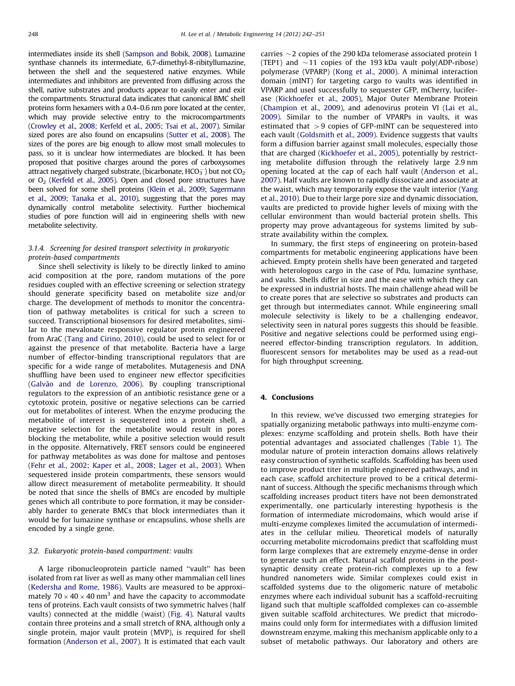intermediates inside its shell [\(Sampson and Bobik, 2008\)](#page-8-0). Lumazine synthase channels its intermediate, 6,7-dimethyl-8-ribityllumazine, between the shell and the sequestered native enzymes. While intermediates and inhibitors are prevented from diffusing across the shell, native substrates and products appear to easily enter and exit the compartments. Structural data indicates that canonical BMC shell proteins form hexamers with a 0.4–0.6 nm pore located at the center, which may provide selective entry to the microcompartments ([Crowley et al., 2008;](#page-8-0) [Kerfeld et al., 2005;](#page-8-0) [Tsai et al., 2007](#page-9-0)). Similar sized pores are also found on encapsulins ([Sutter et al., 2008](#page-8-0)). The sizes of the pores are big enough to allow most small molecules to pass, so it is unclear how intermediates are blocked. It has been proposed that positive charges around the pores of carboxysomes attract negatively charged substrate, (bicarbonate,  $\text{HCO}_3^-$  ) but not  $\text{CO}_2$ or  $O_2$  ([Kerfeld et al., 2005\)](#page-8-0). Open and closed pore structures have been solved for some shell proteins [\(Klein et al., 2009;](#page-8-0) [Sagermann](#page-8-0) [et al., 2009](#page-8-0); [Tanaka et al., 2010](#page-9-0)), suggesting that the pores may dynamically control metabolite selectivity. Further biochemical studies of pore function will aid in engineering shells with new metabolite selectivity.

# 3.1.4. Screening for desired transport selectivity in prokaryotic protein-based compartments

Since shell selectivity is likely to be directly linked to amino acid composition at the pore, random mutations of the pore residues coupled with an effective screening or selection strategy should generate specificity based on metabolite size and/or charge. The development of methods to monitor the concentration of pathway metabolites is critical for such a screen to succeed. Transcriptional biosensors for desired metabolites, similar to the mevalonate responsive regulator protein engineered from AraC ([Tang and Cirino, 2010\)](#page-9-0), could be used to select for or against the presence of that metabolite. Bacteria have a large number of effector-binding transcriptional regulators that are specific for a wide range of metabolites. Mutagenesis and DNA shuffling have been used to engineer new effector specificities (Galvão and de Lorenzo, 2006). By coupling transcriptional regulators to the expression of an antibiotic resistance gene or a cytotoxic protein, positive or negative selections can be carried out for metabolites of interest. When the enzyme producing the metabolite of interest is sequestered into a protein shell, a negative selection for the metabolite would result in pores blocking the metabolite, while a positive selection would result in the opposite. Alternatively, FRET sensors could be engineered for pathway metabolites as was done for maltose and pentoses ([Fehr et al., 2002;](#page-8-0) [Kaper et al., 2008](#page-8-0); [Lager et al., 2003](#page-8-0)). When sequestered inside protein compartments, these sensors would allow direct measurement of metabolite permeability. It should be noted that since the shells of BMCs are encoded by multiple genes which all contribute to pore formation, it may be considerably harder to generate BMCs that block intermediates than it would be for lumazine synthase or encapsulins, whose shells are encoded by a single gene.

## 3.2. Eukaryotic protein-based compartment: vaults

A large ribonucleoprotein particle named ''vault'' has been isolated from rat liver as well as many other mammalian cell lines ([Kedersha and Rome, 1986](#page-8-0)). Vaults are measured to be approximately  $70 \times 40 \times 40$  nm<sup>3</sup> and have the capacity to accommodate tens of proteins. Each vault consists of two symmetric halves (half vaults) connected at the middle (waist) ([Fig. 4](#page-5-0)). Natural vaults contain three proteins and a small stretch of RNA, although only a single protein, major vault protein (MVP), is required for shell formation ([Anderson et al., 2007](#page-7-0)). It is estimated that each vault carries  $\sim$  2 copies of the 290 kDa telomerase associated protein 1 (TEP1) and  $\sim$ 11 copies of the 193 kDa vault poly(ADP-ribose) polymerase (VPARP) [\(Kong et al., 2000\)](#page-8-0). A minimal interaction domain (mINT) for targeting cargo to vaults was identified in VPARP and used successfully to sequester GFP, mCherry, luciferase [\(Kickhoefer et al., 2005\)](#page-8-0), Major Outer Membrane Protein ([Champion et al., 2009\)](#page-8-0), and adenovirus protein VI [\(Lai et al.,](#page-8-0) [2009\)](#page-8-0). Similar to the number of VPARPs in vaults, it was estimated that  $> 9$  copies of GFP-mINT can be sequestered into each vault [\(Goldsmith et al., 2009](#page-8-0)). Evidence suggests that vaults form a diffusion barrier against small molecules, especially those that are charged [\(Kickhoefer et al., 2005\)](#page-8-0), potentially by restricting metabolite diffusion through the relatively large 2.9 nm opening located at the cap of each half vault [\(Anderson et al.,](#page-7-0) [2007\)](#page-7-0). Half vaults are known to rapidly dissociate and associate at the waist, which may temporarily expose the vault interior ([Yang](#page-9-0) [et al., 2010\)](#page-9-0). Due to their large pore size and dynamic dissociation, vaults are predicted to provide higher levels of mixing with the cellular environment than would bacterial protein shells. This property may prove advantageous for systems limited by substrate availability within the complex.

In summary, the first steps of engineering on protein-based compartments for metabolic engineering applications have been achieved. Empty protein shells have been generated and targeted with heterologous cargo in the case of Pdu, lumazine synthase, and vaults. Shells differ in size and the ease with which they can be expressed in industrial hosts. The main challenge ahead will be to create pores that are selective so substrates and products can get through but intermediates cannot. While engineering small molecule selectivity is likely to be a challenging endeavor, selectivity seen in natural pores suggests this should be feasible. Positive and negative selections could be performed using engineered effector-binding transcription regulators. In addition, fluorescent sensors for metabolites may be used as a read-out for high throughput screening.

# 4. Conclusions

In this review, we've discussed two emerging strategies for spatially organizing metabolic pathways into multi-enzyme complexes: enzyme scaffolding and protein shells. Both have their potential advantages and associated challenges [\(Table 1](#page-7-0)). The modular nature of protein interaction domains allows relatively easy construction of synthetic scaffolds. Scaffolding has been used to improve product titer in multiple engineered pathways, and in each case, scaffold architecture proved to be a critical determinant of success. Although the specific mechanisms through which scaffolding increases product titers have not been demonstrated experimentally, one particularly interesting hypothesis is the formation of intermediate microdomains, which would arise if multi-enzyme complexes limited the accumulation of intermediates in the cellular milieu. Theoretical models of naturally occurring metabolite microdomains predict that scaffolding must form large complexes that are extremely enzyme-dense in order to generate such an effect. Natural scaffold proteins in the postsynaptic density create protein-rich complexes up to a few hundred nanometers wide. Similar complexes could exist in scaffolded systems due to the oligomeric nature of metabolic enzymes where each individual subunit has a scaffold-recruiting ligand such that multiple scaffolded complexes can co-assemble given suitable scaffold architectures. We predict that microdomains could only form for intermediates with a diffusion limited downstream enzyme, making this mechanism applicable only to a subset of metabolic pathways. Our laboratory and others are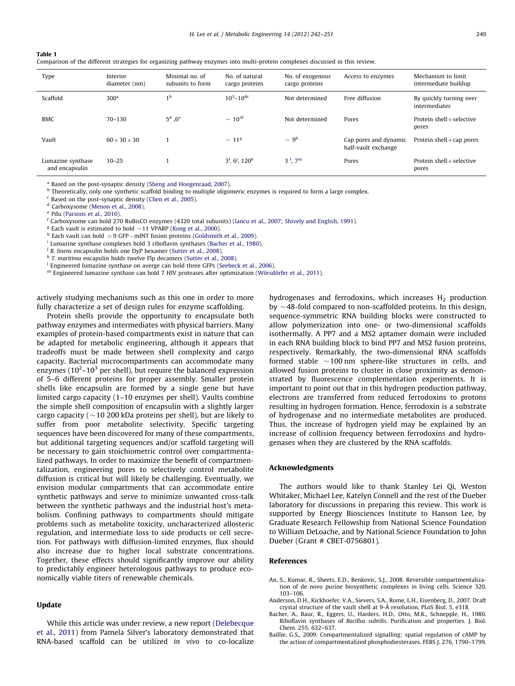,  $6^j$ ,  $120^k$  3<sup>1</sup>

| rabie i<br>Comparison of the different strategies for organizing pathway enzymes into multi-protein complexes discussed in this review. |                           |                                    |                                  |                                    |                                              |                                            |
|-----------------------------------------------------------------------------------------------------------------------------------------|---------------------------|------------------------------------|----------------------------------|------------------------------------|----------------------------------------------|--------------------------------------------|
| Type                                                                                                                                    | Interior<br>diameter (nm) | Minimal no. of<br>subunits to form | No. of natural<br>cargo proteins | No. of exogenous<br>cargo proteins | Access to enzymes                            | Mechanism to limit<br>intermediate buildup |
| Scaffold                                                                                                                                | 300 <sup>a</sup>          | 1 <sup>b</sup>                     | $10^3 - 10^{4c}$                 | Not determined                     | Free diffusion                               | By quickly turning over<br>intermediates   |
| <b>BMC</b>                                                                                                                              | $70 - 130$                | $5^d.6^e$                          | $\sim 10^{3}$                    | Not determined                     | Pores                                        | Protein $shell + selective$<br>pores       |
| Vault                                                                                                                                   | $60 \times 30 \times 30$  |                                    | $\sim 11^8$                      | $\sim 9^{\rm h}$                   | Cap pores and dynamic<br>half-vault exchange | Protein shell $+$ cap pores                |

<span id="page-7-0"></span> $\frac{1}{C}$ 

<sup>a</sup> Based on the post-synaptic density ([Sheng and Hoogenraad, 2007\)](#page-8-0).

**b** Theoretically, only one synthetic scaffold binding to multiple oligomeric enzymes is required to form a large complex.

 $c$  Based on the post-synaptic density [\(Chen et al., 2005](#page-8-0)).

<sup>d</sup> Carboxysome ([Menon et al., 2008\)](#page-8-0).

<sup>e</sup> Pdu ([Parsons et al., 2010\)](#page-8-0).

Lumazine synthase and encapsulin

<sup>f</sup> Carboxysome can hold 270 RuBisCO enzymes (4320 total subunits) ([Iancu et al., 2007](#page-8-0); [Shively and English, 1991](#page-8-0)).

<sup>g</sup> Each vault is estimated to hold  $\sim$  11 VPARP ([Kong et al., 2000\)](#page-8-0).

 $^{\rm h}$  Each vault can hold  $> 9$  GFP-mINT fusion proteins [\(Goldsmith et al., 2009\)](#page-8-0).

 $10-25$  1  $3<sup>1</sup>$ 

<sup>i</sup> Lumazine synthase complexes hold 3 riboflavin synthases (Bacher et al., 1980).

<sup>j</sup> B. linens encapsulin holds one DyP hexamer ([Sutter et al., 2008\)](#page-8-0).

<sup>k</sup> T. maritima encapulin holds twelve Flp decamers ([Sutter et al., 2008\)](#page-8-0).

<sup>1</sup> Engineered lumazine synthase on averge can hold three GFPs ([Seebeck et al., 2006\)](#page-8-0).

m Engineered lumazine synthase can hold 7 HIV proteases after optimization [\(W](#page-9-0)ö[rsd](#page-9-0)örfer et al., 2011).

actively studying mechanisms such as this one in order to more fully characterize a set of design rules for enzyme scaffolding.

Protein shells provide the opportunity to encapsulate both pathway enzymes and intermediates with physical barriers. Many examples of protein-based compartments exist in nature that can be adapted for metabolic engineering, although it appears that tradeoffs must be made between shell complexity and cargo capacity. Bacterial microcompartments can accommodate many enzymes (10<sup>2</sup>–10<sup>3</sup> per shell), but require the balanced expression of 5–6 different proteins for proper assembly. Smaller protein shells like encapsulin are formed by a single gene but have limited cargo capacity (1–10 enzymes per shell). Vaults combine the simple shell composition of encapsulin with a slightly larger cargo capacity ( $\sim$  10 200 kDa proteins per shell), but are likely to suffer from poor metabolite selectivity. Specific targeting sequences have been discovered for many of these compartments, but additional targeting sequences and/or scaffold targeting will be necessary to gain stoichiometric control over compartmentalized pathways. In order to maximize the benefit of compartmentalization, engineering pores to selectively control metabolite diffusion is critical but will likely be challenging. Eventually, we envision modular compartments that can accommodate entire synthetic pathways and serve to minimize unwanted cross-talk between the synthetic pathways and the industrial host's metabolism. Confining pathways to compartments should mitigate problems such as metabolite toxicity, uncharacterized allosteric regulation, and intermediate loss to side products or cell secretion. For pathways with diffusion-limited enzymes, flux should also increase due to higher local substrate concentrations. Together, these effects should significantly improve our ability to predictably engineer heterologous pathways to produce economically viable titers of renewable chemicals.

## Update

While this article was under review, a new report [\(Delebecque](#page-8-0) [et al., 2011](#page-8-0)) from Pamela Silver's laboratory demonstrated that RNA-based scaffold can be utilized in vivo to co-localize hydrogenases and ferrodoxins, which increases  $H_2$  production by  $\sim$  48-fold compared to non-scaffolded proteins. In this design, sequence-symmetric RNA building blocks were constructed to allow polymerization into one- or two-dimensional scaffolds isothermally. A PP7 and a MS2 aptamer domain were included in each RNA building block to bind PP7 and MS2 fusion proteins, respectively. Remarkably, the two-dimensional RNA scaffolds formed stable  $\sim$ 100 nm sphere-like structures in cells, and allowed fusion proteins to cluster in close proximity as demonstrated by fluorescence complementation experiments. It is important to point out that in this hydrogen production pathway, electrons are transferred from reduced ferrodoxins to protons resulting in hydrogen formation. Hence, ferrodoxin is a substrate of hydrogenase and no intermediate metabolites are produced. Thus, the increase of hydrogen yield may be explained by an increase of collision frequency between ferrodoxins and hydrogenases when they are clustered by the RNA scaffolds.

 $3<sup>1</sup>$ ,  $7<sup>m</sup>$  Pores Protein shell + selective

pores

### Acknowledgments

The authors would like to thank Stanley Lei Qi, Weston Whitaker, Michael Lee, Katelyn Connell and the rest of the Dueber laboratory for discussions in preparing this review. This work is supported by Energy Biosciences Institute to Hanson Lee, by Graduate Research Fellowship from National Science Foundation to William DeLoache, and by National Science Foundation to John Dueber (Grant # CBET-0756801).

#### References

- An, S., Kumar, R., Sheets, E.D., Benkovic, S.J., 2008. Reversible compartmentalization of de novo purine biosynthetic complexes in living cells. Science 320, 103–106.
- Anderson, D.H., Kickhoefer, V.A., Sievers, S.A., Rome, L.H., Eisenberg, D., 2007. Draft crystal structure of the vault shell at 9-Å resolution. PLoS Biol. 5, e318.

Bacher, A., Baur, R., Eggers, U., Harders, H.D., Otto, M.K., Schnepple, H., 1980. Riboflavin synthases of Bacillus subtilis. Purification and properties. J. Biol. Chem. 255, 632–637.

Baillie, G.S., 2009. Compartmentalized signalling: spatial regulation of cAMP by the action of compartmentalized phosphodiesterases. FEBS J. 276, 1790–1799.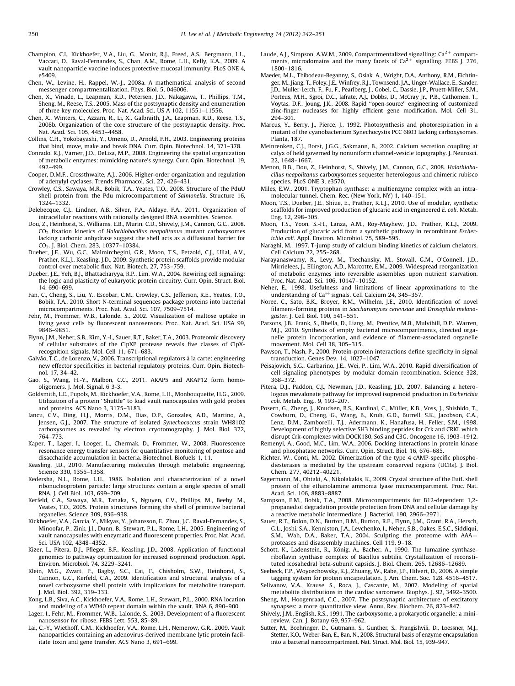- <span id="page-8-0"></span>Champion, C.I., Kickhoefer, V.A., Liu, G., Moniz, R.J., Freed, A.S., Bergmann, L.L., Vaccari, D., Raval-Fernandes, S., Chan, A.M., Rome, L.H., Kelly, K.A., 2009. A vault nanoparticle vaccine induces protective mucosal immunity. PLoS ONE 4, e5409.
- Chen, W., Levine, H., Rappel, W.-J., 2008a. A mathematical analysis of second messenger compartmentalization. Phys. Biol. 5, 046006.
- Chen, X., Vinade, L., Leapman, R.D., Petersen, L.D., Nakagawa, T., Phillips, T.M., Sheng, M., Reese, T.S., 2005. Mass of the postsynaptic density and enumeration of three key molecules. Proc. Nat. Acad. Sci. US A 102, 11551–11556.
- Chen, X., Winters, C., Azzam, R., Li, X., Galbraith, J.A., Leapman, R.D., Reese, T.S., 2008b. Organization of the core structure of the postsynaptic density. Proc. Nat. Acad. Sci. 105, 4453–4458.
- Collins, C.H., Yokobayashi, Y., Umeno, D., Arnold, F.H., 2003. Engineering proteins that bind, move, make and break DNA. Curr. Opin. Biotechnol. 14, 371–378.
- Conrado, R.J., Varner, J.D., DeLisa, M.P., 2008. Engineering the spatial organization of metabolic enzymes: mimicking nature's synergy. Curr. Opin. Biotechnol. 19, 492–499.
- Cooper, D.M.F., Crossthwaite, A.J., 2006. Higher-order organization and regulation of adenylyl cyclases. Trends Pharmacol. Sci. 27, 426–431.
- Crowley, C.S., Sawaya, M.R., Bobik, T.A., Yeates, T.O., 2008. Structure of the PduU shell protein from the Pdu microcompartment of Salmonella. Structure 16, 1324–1332.
- Delebecque, C.J., Lindner, A.B., Silver, P.A., Aldaye, F.A., 2011. Organization of intracellular reactions with rationally designed RNA assemblies. Science.
- Dou, Z., Heinhorst, S., Williams, E.B., Murin, C.D., Shively, J.M., Cannon, G.C., 2008.  $CO<sub>2</sub>$  fixation kinetics of Halothiobacillus neapolitanus mutant carboxysomes lacking carbonic anhydrase suggest the shell acts as a diffusional barrier for CO2. J. Biol. Chem. 283, 10377–10384.
- Dueber, J.E., Wu, G.C., Malmirchegini, G.R., Moon, T.S., Petzold, C.J., Ullal, A.V., Prather, K.L.J., Keasling, J.D., 2009. Synthetic protein scaffolds provide modular control over metabolic flux. Nat. Biotech. 27, 753–759.
- Dueber, J.E., Yeh, B.J., Bhattacharyya, R.P., Lim, W.A., 2004. Rewiring cell signaling: the logic and plasticity of eukaryotic protein circuitry. Curr. Opin. Struct. Biol. 14, 690–699.
- Fan, C., Cheng, S., Liu, Y., Escobar, C.M., Crowley, C.S., Jefferson, R.E., Yeates, T.O., Bobik, T.A., 2010. Short N-terminal sequences package proteins into bacterial microcompartments. Proc. Nat. Acad. Sci. 107, 7509–7514.
- Fehr, M., Frommer, W.B., Lalonde, S., 2002. Visualization of maltose uptake in living yeast cells by fluorescent nanosensors. Proc. Nat. Acad. Sci. USA 99, 9846–9851.
- Flynn, J.M., Neher, S.B., Kim, Y.-I., Sauer, R.T., Baker, T.A., 2003. Proteomic discovery of cellular substrates of the ClpXP protease reveals five classes of ClpXrecognition signals. Mol. Cell 11, 671–683.
- Galvão, T.C., de Lorenzo, V., 2006. Transcriptional regulators à la carte: engineering new effector specificities in bacterial regulatory proteins. Curr. Opin. Biotechnol. 17, 34–42.
- Gao, S., Wang, H.-Y., Malbon, C.C., 2011. AKAP5 and AKAP12 form homooligomers. J. Mol. Signal. 6 3-3.
- Goldsmith, L.E., Pupols, M., Kickhoefer, V.A., Rome, L.H., Monbouquette, H.G., 2009. Utilization of a protein ''Shuttle'' to load vault nanocapsules with gold probes and proteins. ACS Nano 3, 3175–3183.
- Iancu, C.V., Ding, H.J., Morris, D.M., Dias, D.P., Gonzales, A.D., Martino, A., Jensen, G.J., 2007. The structure of isolated Synechococcus strain WH8102 carboxysomes as revealed by electron cryotomography. J. Mol. Biol. 372, 764–773.
- Kaper, T., Lager, I., Looger, L., Chermak, D., Frommer, W., 2008. Fluorescence resonance energy transfer sensors for quantitative monitoring of pentose and disaccharide accumulation in bacteria. Biotechnol. Biofuels 1, 11.
- Keasling, J.D., 2010. Manufacturing molecules through metabolic engineering. Science 330, 1355–1358.
- Kedersha, N.L., Rome, L.H., 1986. Isolation and characterization of a novel ribonucleoprotein particle: large structures contain a single species of small RNA. J. Cell Biol. 103, 699–709.
- Kerfeld, C.A., Sawaya, M.R., Tanaka, S., Nguyen, C.V., Phillips, M., Beeby, M., Yeates, T.O., 2005. Protein structures forming the shell of primitive bacterial organelles. Science 309, 936–938.
- Kickhoefer, V.A., Garcia, Y., Mikyas, Y., Johansson, E., Zhou, J.C., Raval-Fernandes, S., Minoofar, P., Zink, J.I., Dunn, B., Stewart, P.L., Rome, L.H., 2005. Engineering of vault nanocapsules with enzymatic and fluorescent properties. Proc. Nat. Acad. Sci. USA 102, 4348–4352.
- Kizer, L., Pitera, D.J., Pfleger, B.F., Keasling, J.D., 2008. Application of functional genomics to pathway optimization for increased isoprenoid production. Appl. Environ. Microbiol. 74, 3229–3241.
- Klein, M.G., Zwart, P., Bagby, S.C., Cai, F., Chisholm, S.W., Heinhorst, S., Cannon, G.C., Kerfeld, C.A., 2009. Identification and structural analysis of a novel carboxysome shell protein with implications for metabolite transport. J. Mol. Biol. 392, 319–333.
- Kong, L.B., Siva, A.C., Kickhoefer, V.A., Rome, L.H., Stewart, P.L., 2000. RNA location and modeling of a WD40 repeat domain within the vault. RNA 6, 890–900.
- Lager, I., Fehr, M., Frommer, W.B., Lalonde, S., 2003. Development of a fluorescent nanosensor for ribose. FEBS Lett. 553, 85–89.
- Lai, C.-Y., Wiethoff, C.M., Kickhoefer, V.A., Rome, L.H., Nemerow, G.R., 2009. Vault nanoparticles containing an adenovirus-derived membrane lytic protein facilitate toxin and gene transfer. ACS Nano 3, 691–699.
- Laude, A.J., Simpson, A.W.M., 2009. Compartmentalized signalling:  $Ca^{2+}$  compartments, microdomains and the many facets of  $Ca^{2+}$  signalling. FEBS J. 276, 1800–1816.
- Maeder, M.L., Thibodeau-Beganny, S., Osiak, A., Wright, D.A., Anthony, R.M., Eichtinger, M., Jiang, T., Foley, J.E., Winfrey, R.J., Townsend, J.A., Unger-Wallace, E., Sander, J.D., Muller-Lerch, F., Fu, F., Pearlberg, J., Gobel, C., Dassie, J.P., Pruett-Miller, S.M., Porteus, M.H., Sgroi, D.C., Iafrate, A.J., Dobbs, D., McCray Jr., P.B., Cathomen, T., Voytas, D.F., Joung, J.K., 2008. Rapid ''open-source'' engineering of customized zinc-finger nucleases for highly efficient gene modification. Mol. Cell 31, 294–301.
- Marcus, Y., Berry, J., Pierce, J., 1992. Photosynthesis and photorespiration in a mutant of the cyanobacterium Synechocystis PCC 6803 lacking carboxysomes. Planta, 187.
- Meinrenken, C.J., Borst, J.G.G., Sakmann, B., 2002. Calcium secretion coupling at calyx of held governed by nonuniform channel-vesicle topography. J. Neurosci. 22, 1648–1667.
- Menon, B.B., Dou, Z., Heinhorst, S., Shively, J.M., Cannon, G.C., 2008. Halothiobacillus neapolitanus carboxysomes sequester heterologous and chimeric rubisco species. PLoS ONE 3, e3570.
- Miles, E.W., 2001. Tryptophan synthase: a multienzyme complex with an intramolecular tunnel. Chem. Rec. (New York, NY) 1, 140–151.
- Moon, T.S., Dueber, J.E., Shiue, E., Prather, K.L.J., 2010. Use of modular, synthetic scaffolds for improved production of glucaric acid in engineered E. coli. Metab. Eng. 12, 298–305.
- Moon, T.S., Yoon, S.-H., Lanza, A.M., Roy-Mayhew, J.D., Prather, K.L.J., 2009. Production of glucaric acid from a synthetic pathway in recombinant Escherichia coli. Appl. Environ. Microbiol. 75, 589–595.
- Naraghi, M., 1997. T-jump study of calcium binding kinetics of calcium chelators. Cell Calcium 22, 255–268.
- Narayanaswamy, R., Levy, M., Tsechansky, M., Stovall, G.M., O'Connell, J.D., Mirrielees, J., Ellington, A.D., Marcotte, E.M., 2009. Widespread reorganization of metabolic enzymes into reversible assemblies upon nutrient starvation. Proc. Nat. Acad. Sci. 106, 10147–10152.
- Neher, E., 1998. Usefulness and limitations of linear approximations to the understanding of Ca<sup>++</sup> signals. Cell Calcium 24, 345–357.
- Noree, C., Sato, B.K., Broyer, R.M., Wilhelm, J.E., 2010. Identification of novel filament-forming proteins in Saccharomyces cerevisiae and Drosophila melanogaster. J. Cell Biol. 190, 541–551.
- Parsons, J.B., Frank, S., Bhella, D., Liang, M., Prentice, M.B., Mulvihill, D.P., Warren, M.J., 2010. Synthesis of empty bacterial microcompartments, directed organelle protein incorporation, and evidence of filament-associated organelle movement. Mol. Cell 38, 305–315.
- Pawson, T., Nash, P., 2000. Protein-protein interactions define specificity in signal transduction. Genes Dev. 14, 1027–1047.
- Peisajovich, S.G., Garbarino, J.E., Wei, P., Lim, W.A., 2010. Rapid diversification of cell signaling phenotypes by modular domain recombination. Science 328, 368–372.
- Pitera, D.J., Paddon, C.J., Newman, J.D., Keasling, J.D., 2007. Balancing a heterologous mevalonate pathway for improved isoprenoid production in Escherichia coli. Metab. Eng.. 9, 193–207.
- Posern, G., Zheng, J., Knudsen, B.S., Kardinal, C., Müller, K.B., Voss, J., Shishido, T., Cowburn, D., Cheng, G., Wang, B., Kruh, G.D., Burrell, S.K., Jacobson, C.A., Lenz, D.M., Zamborelli, T.J., Adermann, K., Hanafusa, H., Feller, S.M., 1998. Development of highly selective SH3 binding peptides for Crk and CRKL which disrupt Crk-complexes with DOCK180, SoS and C3G. Oncogene 16, 1903–1912.
- Remenyi, A., Good, M.C., Lim, W.A., 2006. Docking interactions in protein kinase and phosphatase networks. Curr. Opin. Struct. Biol. 16, 676–685.
- Richter, W., Conti, M., 2002. Dimerization of the type 4 cAMP-specific phosphodiesterases is mediated by the upstream conserved regions (UCRs). J. Biol. Chem. 277, 40212–40221.
- Sagermann, M., Ohtaki, A., Nikolakakis, K., 2009. Crystal structure of the EutL shell protein of the ethanolamine ammonia lyase microcompartment. Proc. Nat. Acad. Sci. 106, 8883–8887.
- Sampson, E.M., Bobik, T.A., 2008. Microcompartments for B12-dependent 1,2 propanediol degradation provide protection from DNA and cellular damage by a reactive metabolic intermediate. J. Bacteriol. 190, 2966–2971.
- Sauer, R.T., Bolon, D.N., Burton, B.M., Burton, R.E., Flynn, J.M., Grant, R.A., Hersch, G.L., Joshi, S.A., Kenniston, J.A., Levchenko, I., Neher, S.B., Oakes, E.S.C., Siddiqui, S.M., Wah, D.A., Baker, T.A., 2004. Sculpting the proteome with  $AA$ + proteases and disassembly machines. Cell 119, 9–18.
- Schott, K., Ladenstein, R., König, A., Bacher, A., 1990. The lumazine synthaseriboflavin synthase complex of Bacillus subtilis. Crystallization of reconstituted icosahedral beta-subunit capsids. J. Biol. Chem. 265, 12686–12689.
- Seebeck, F.P., Woycechowsky, K.J., Zhuang, W., Rabe, J.P., Hilvert, D., 2006. A simple tagging system for protein encapsulation. J. Am. Chem. Soc. 128, 4516–4517.
- Selivanov, V.A., Krause, S., Roca, J., Cascante, M., 2007. Modeling of spatial metabolite distributions in the cardiac sarcomere. Biophys. J. 92, 3492–3500.
- Sheng, M., Hoogenraad, C.C., 2007. The postsynaptic architecture of excitatory synapses: a more quantitative view. Annu. Rev. Biochem. 76, 823–847.
- Shively, J.M., English, R.S., 1991. The carboxysome, a prokaryotic organelle: a minireview. Can. J. Botany 69, 957–962.
- Sutter, M., Boehringer, D., Gutmann, S., Gunther, S., Prangishvili, D., Loessner, M.J., Stetter, K.O., Weber-Ban, E., Ban, N., 2008. Structural basis of enzyme encapsulation into a bacterial nanocompartment. Nat. Struct. Mol. Biol. 15, 939–947.